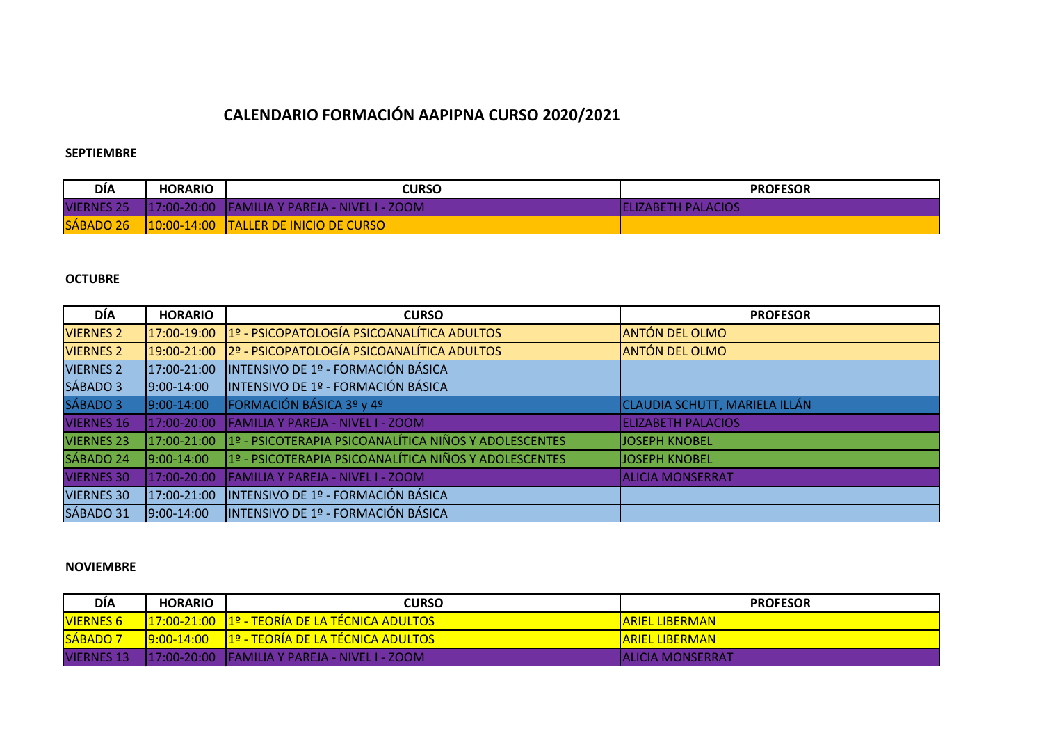# **CALENDARIO FORMACIÓN AAPIPNA CURSO 2020/2021**

## **SEPTIEMBRE**

| <b>DIA</b>        | <b>HORARIO</b> | <b>CURSO</b>                                   | <b>PROFESOR</b>            |
|-------------------|----------------|------------------------------------------------|----------------------------|
| <b>VIERNES 25</b> |                | 117:00-20:00 FAMILIA Y PAREJA - NIVEL I - ZOOM | <b>IELIZABETH PALACIOS</b> |
| SÁBADO 26         |                | 10:00-14:00 TALLER DE INICIO DE CURSO          |                            |

# **OCTUBRE**

| DÍA               | <b>HORARIO</b> | <b>CURSO</b>                                          | <b>PROFESOR</b>                      |
|-------------------|----------------|-------------------------------------------------------|--------------------------------------|
| <b>VIERNES 2</b>  | 17:00-19:00    | 1º - PSICOPATOLOGÍA PSICOANALÍTICA ADULTOS            | <b>ANTÓN DEL OLMO</b>                |
| <b>VIERNES 2</b>  | 19:00-21:00    | 2º - PSICOPATOLOGÍA PSICOANALÍTICA ADULTOS            | <b>ANTÓN DEL OLMO</b>                |
| <b>VIERNES 2</b>  | 17:00-21:00    | INTENSIVO DE 1º - FORMACIÓN BÁSICA                    |                                      |
| SÁBADO 3          | $9:00 - 14:00$ | INTENSIVO DE 1º - FORMACIÓN BÁSICA                    |                                      |
| SÁBADO 3          | $9:00 - 14:00$ | FORMACIÓN BÁSICA 3º y 4º                              | <b>CLAUDIA SCHUTT, MARIELA ILLÁN</b> |
| <b>VIERNES 16</b> | 17:00-20:00    | <b>FAMILIA Y PAREJA - NIVEL I - ZOOM</b>              | <b>ELIZABETH PALACIOS</b>            |
| <b>VIERNES 23</b> | 17:00-21:00    | 1º - PSICOTERAPIA PSICOANALÍTICA NIÑOS Y ADOLESCENTES | <b>JOSEPH KNOBEL</b>                 |
| SÁBADO 24         | $ 9:00-14:00 $ | 1º - PSICOTERAPIA PSICOANALÍTICA NIÑOS Y ADOLESCENTES | JOSEPH KNOBEL                        |
| <b>VIERNES 30</b> | 17:00-20:00    | <b>FAMILIA Y PAREJA - NIVEL I - ZOOM</b>              | <b>ALICIA MONSERRAT</b>              |
| <b>VIERNES 30</b> | 17:00-21:00    | INTENSIVO DE 1º - FORMACIÓN BÁSICA                    |                                      |
| SÁBADO 31         | $9:00-14:00$   | INTENSIVO DE 1º - FORMACIÓN BÁSICA                    |                                      |

#### **NOVIEMBRE**

| <b>DÍA</b>        | <b>HORARIO</b>  | <b>CURSO</b>                                   | <b>PROFESOR</b>   |
|-------------------|-----------------|------------------------------------------------|-------------------|
| <b>VIERNES 6</b>  |                 | 17:00-21:00 1º - TEORÍA DE LA TECNICA ADULTOS  | ARIEL LIBERMAN    |
| <b>SÁBADO 7</b>   | $19:00 - 14:00$ | <u>   1º - TEORÍA DE LA TÉCNICA ADULTOS  </u>  | ARIEL LIBERMAN    |
| <b>VIERNES 13</b> |                 | 117:00-20:00 FAMILIA Y PAREJA - NIVEL I - ZOOM | IALICIA MONSERRAT |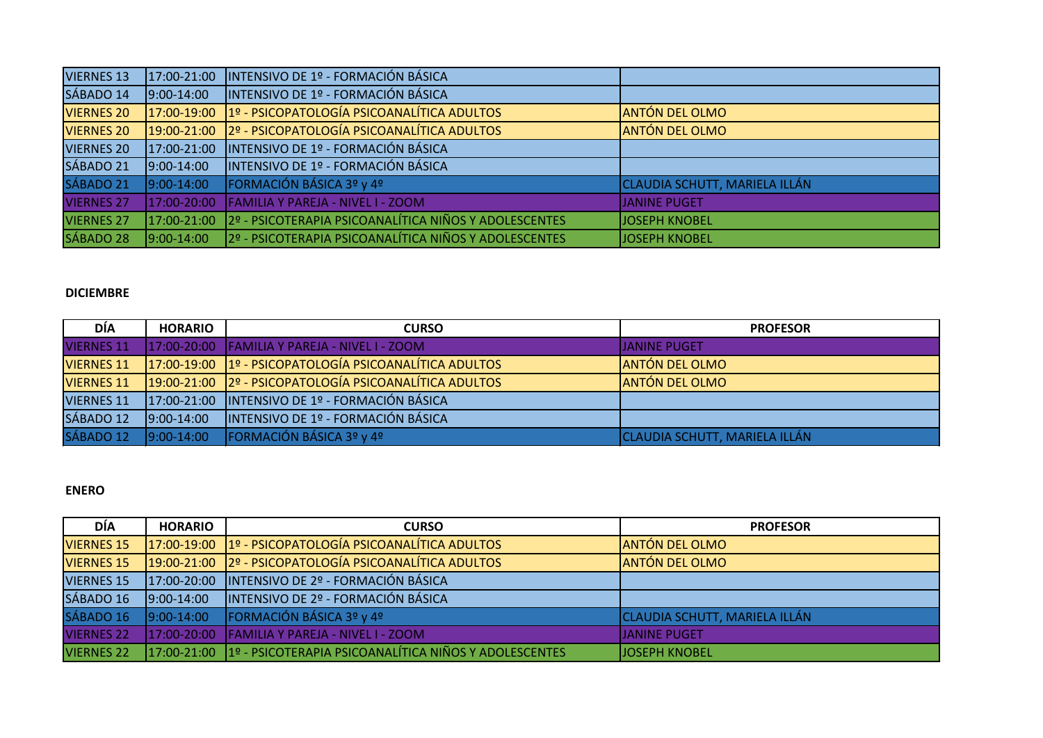| <b>VIERNES 13</b> | 17:00-21:00     | INTENSIVO DE 1º - FORMACIÓN BÁSICA                     |                               |
|-------------------|-----------------|--------------------------------------------------------|-------------------------------|
| SÁBADO 14         | $9:00-14:00$    | INTENSIVO DE 1º - FORMACIÓN BÁSICA                     |                               |
| <b>VIERNES 20</b> |                 | 17:00-19:00 1º - PSICOPATOLOGÍA PSICOANALÍTICA ADULTOS | <b>ANTÓN DEL OLMO</b>         |
| <b>VIERNES 20</b> |                 | 19:00-21:00 2º - PSICOPATOLOGÍA PSICOANALÍTICA ADULTOS | <b>ANTÓN DEL OLMO</b>         |
| <b>VIERNES 20</b> | 17:00-21:00     | INTENSIVO DE 1º - FORMACIÓN BÁSICA                     |                               |
| SÁBADO 21         | $9:00-14:00$    | INTENSIVO DE 1º - FORMACIÓN BÁSICA                     |                               |
| SÁBADO 21         | $9:00-14:00$    | FORMACIÓN BÁSICA 3º y 4º                               | CLAUDIA SCHUTT, MARIELA ILLÁN |
| <b>VIERNES 27</b> | 17:00-20:00     | <b>FAMILIA Y PAREJA - NIVEL I - ZOOM</b>               | <b>JANINE PUGET</b>           |
| <b>VIERNES 27</b> | $17:00 - 21:00$ | 2º - PSICOTERAPIA PSICOANALÍTICA NIÑOS Y ADOLESCENTES  | <b>JOSEPH KNOBEL</b>          |
| SÁBADO 28         | $9:00-14:00$    | 2º - PSICOTERAPIA PSICOANALÍTICA NIÑOS Y ADOLESCENTES  | <b>JOSEPH KNOBEL</b>          |

#### **DICIEMBRE**

| <b>DÍA</b>        | <b>HORARIO</b> | <b>CURSO</b>                                               | <b>PROFESOR</b>               |
|-------------------|----------------|------------------------------------------------------------|-------------------------------|
| <b>VIERNES 11</b> |                | 17:00-20:00 FAMILIA Y PAREJA - NIVEL I - ZOOM              | <b>IJANINE PUGET</b>          |
| <b>VIERNES 11</b> |                | $17:00-19:00$ $19 - PSICOPATOLOGIA PSICOANALÍTICA ADULTOS$ | <b>JANTÓN DEL OLMO</b>        |
| <b>VIERNES 11</b> |                | 19:00-21:00 2º - PSICOPATOLOGÍA PSICOANALÍTICA ADULTOS     | <b>ANTÓN DEL OLMO</b>         |
| <b>VIERNES 11</b> |                | 17:00-21:00   INTENSIVO DE 1º - FORMACIÓN BÁSICA           |                               |
| SÁBADO 12         | $9:00-14:00$   | INTENSIVO DE 1º - FORMACIÓN BÁSICA                         |                               |
| SÁBADO 12         | $9:00-14:00$   | FORMACIÓN BÁSICA 3º y 4º                                   | CLAUDIA SCHUTT, MARIELA ILLÁN |

## **ENERO**

| <b>DÍA</b>        | <b>HORARIO</b>  | <b>CURSO</b>                                                      | <b>PROFESOR</b>                      |
|-------------------|-----------------|-------------------------------------------------------------------|--------------------------------------|
| <b>VIERNES 15</b> |                 | 17:00-19:00 1º - PSICOPATOLOGÍA PSICOANALÍTICA ADULTOS            | <b>JANTÓN DEL OLMO</b>               |
| <b>VIERNES 15</b> |                 | 19:00-21:00 2º - PSICOPATOLOGÍA PSICOANALÍTICA ADULTOS            | <b>JANTÓN DEL OLMO</b>               |
| <b>VIERNES 15</b> |                 | 17:00-20:00 INTENSIVO DE 2º - FORMACIÓN BÁSICA                    |                                      |
| SÁBADO 16         | $9:00-14:00$    | INTENSIVO DE 2º - FORMACIÓN BÁSICA                                |                                      |
| SÁBADO 16         | $9:00-14:00$    | FORMACIÓN BÁSICA 3º y 4º                                          | <b>CLAUDIA SCHUTT, MARIELA ILLÁN</b> |
| <b>VIERNES 22</b> | $17:00 - 20:00$ | <b>IFAMILIA Y PAREJA - NIVEL I - ZOOM</b>                         | <b>JJANINE PUGET</b>                 |
| <b>VIERNES 22</b> |                 | 17:00-21:00 1º - PSICOTERAPIA PSICOANALÍTICA NIÑOS Y ADOLESCENTES | <b>JJOSEPH KNOBEL</b>                |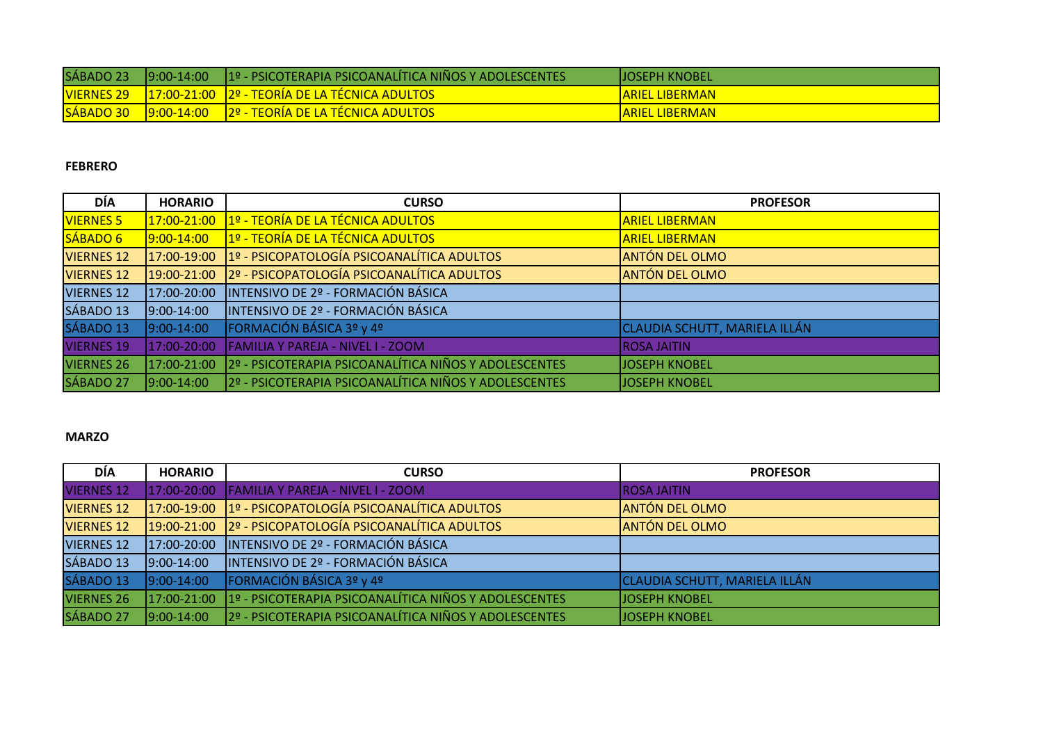| SÁBADO 23         | $19:00-14:00$ | ∣ 1º - PSICOTERAPIA PSICOANALÍTICA NIÑOS Y ADOLESCENTES ' | <b>IJOSEPH KNOBEL</b>  |
|-------------------|---------------|-----------------------------------------------------------|------------------------|
| <b>VIERNES 29</b> |               | <u> 17:00-21:00 12º - TEORÍA DE LA TÉCNICA ADULTOS </u>   | <b>ARIEL LIBERMAN</b>  |
| SÁBADO 30         |               |                                                           | <u>IARIEL LIBERMAN</u> |

#### **FEBRERO**

| DÍA               | <b>HORARIO</b> | <b>CURSO</b>                                           | <b>PROFESOR</b>                      |
|-------------------|----------------|--------------------------------------------------------|--------------------------------------|
| <b>VIERNES 5</b>  | 17:00-21:00    | 1º - TEORÍA DE LA TÉCNICA ADULTOS                      | <b>ARIEL LIBERMAN</b>                |
| SÁBADO 6          | $9:00 - 14:00$ | 1º - TEORÍA DE LA TÉCNICA ADULTOS                      | <b>ARIEL LIBERMAN</b>                |
| <b>VIERNES 12</b> |                | 17:00-19:00 1º - PSICOPATOLOGÍA PSICOANALÍTICA ADULTOS | <b>ANTÓN DEL OLMO</b>                |
| <b>VIERNES 12</b> | 19:00-21:00    | 2º - PSICOPATOLOGÍA PSICOANALÍTICA ADULTOS             | <b>ANTÓN DEL OLMO</b>                |
| <b>VIERNES 12</b> | 17:00-20:00    | INTENSIVO DE 2º - FORMACIÓN BÁSICA                     |                                      |
| SÁBADO 13         | $9:00-14:00$   | INTENSIVO DE 2º - FORMACIÓN BÁSICA                     |                                      |
| SÁBADO 13         | 9:00-14:00     | FORMACIÓN BÁSICA 3º y 4º                               | <b>CLAUDIA SCHUTT, MARIELA ILLÁN</b> |
| <b>VIERNES 19</b> | 17:00-20:00    | <b>FAMILIA Y PAREJA - NIVEL I - ZOOM</b>               | <b>ROSA JAITIN</b>                   |
| <b>VIERNES 26</b> | 17:00-21:00    | 2º - PSICOTERAPIA PSICOANALÍTICA NIÑOS Y ADOLESCENTES  | <b>JOSEPH KNOBEL</b>                 |
| SÁBADO 27         | 9:00-14:00     | 2º - PSICOTERAPIA PSICOANALÍTICA NIÑOS Y ADOLESCENTES  | <b>JOSEPH KNOBEL</b>                 |

# **MARZO**

| <b>DÍA</b>        | <b>HORARIO</b>  | <b>CURSO</b>                                           | <b>PROFESOR</b>               |
|-------------------|-----------------|--------------------------------------------------------|-------------------------------|
| <b>VIERNES 12</b> | $17:00 - 20:00$ | <b>FAMILIA Y PAREJA - NIVEL I - ZOOM</b>               | <b>IROSA JAITIN</b>           |
| <b>VIERNES 12</b> |                 | 17:00-19:00 1º - PSICOPATOLOGÍA PSICOANALÍTICA ADULTOS | <b>ANTÓN DEL OLMO</b>         |
| <b>VIERNES 12</b> |                 | 19:00-21:00 2º - PSICOPATOLOGÍA PSICOANALÍTICA ADULTOS | <b>ANTÓN DEL OLMO</b>         |
| <b>VIERNES 12</b> |                 | 17:00-20:00   INTENSIVO DE 2º - FORMACIÓN BÁSICA       |                               |
| SÁBADO 13         | $9:00-14:00$    | INTENSIVO DE 2º - FORMACIÓN BÁSICA                     |                               |
| SÁBADO 13         | $9:00-14:00$    | FORMACIÓN BÁSICA 3º y 4º                               | CLAUDIA SCHUTT, MARIELA ILLÁN |
| <b>VIERNES 26</b> | $17:00 - 21:00$ | 1º - PSICOTERAPIA PSICOANALÍTICA NIÑOS Y ADOLESCENTES  | <b>JJOSEPH KNOBEL</b>         |
| SÁBADO 27         | $9:00-14:00$    | 2º - PSICOTERAPIA PSICOANALÍTICA NIÑOS Y ADOLESCENTES  | <b>JOSEPH KNOBEL</b>          |